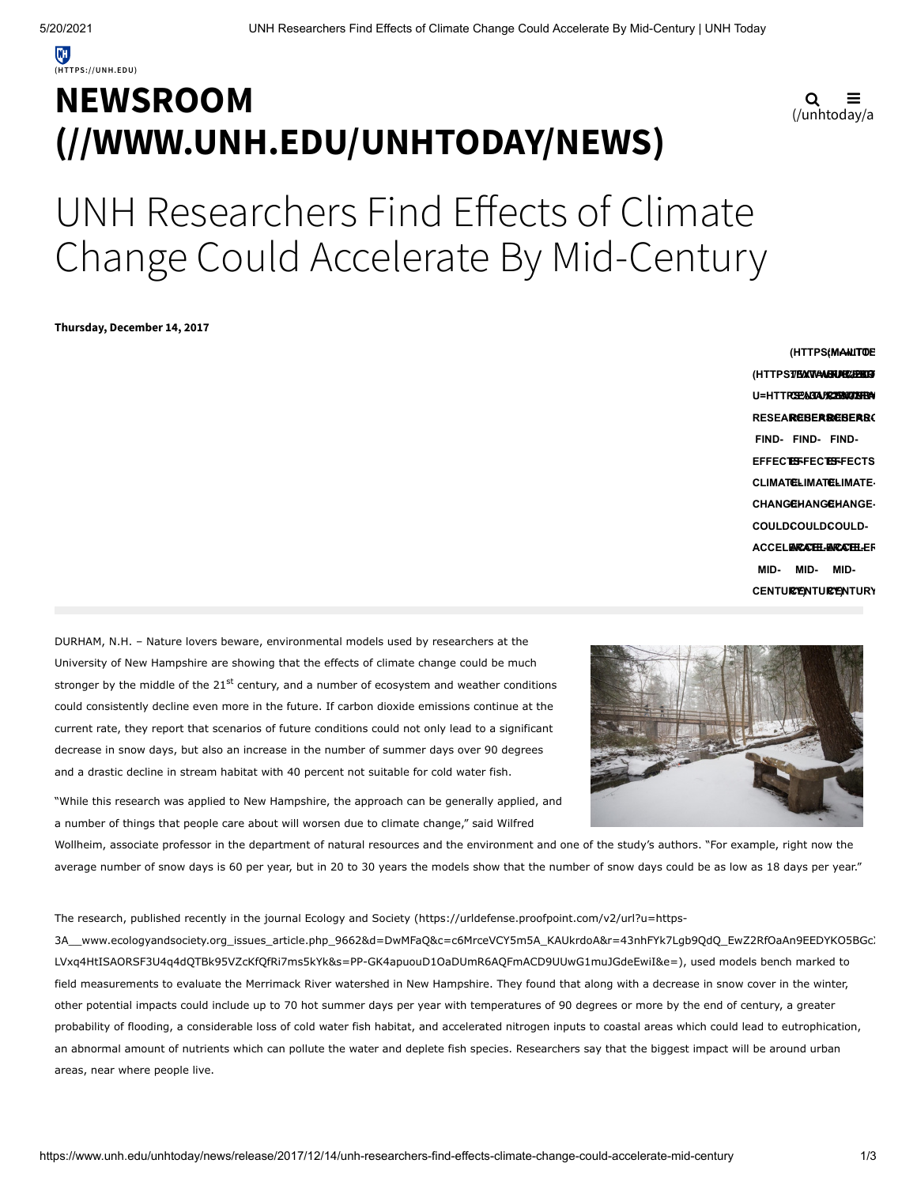## **NEWSROOM [\(//WWW.UNH.EDU/UNHTODAY/NEWS\)](https://www.unh.edu/unhtoday/news)**

$$
\mathbf{Q} \equiv
$$
  
(/unhtoday/a

# UNH Researchers Find Effects of Climate Change Could Accelerate By Mid-Century

**Thursday, December 14, 2017**

**(HTTPSTEXTAMENER/PEGB U=HTTPS17BM3TAARURE4PBG3<br>U=HTTPC<del>EP</del>&GIA/R2HM4GUHBA RESEARCHERS-RESEARCHERS-RESEARC FIND-FIND-FIND-EFFECTS-EFFECTS-EFFECTS CLIMATE-CLIMATE-CLIMATE-CHANGE-CHANGE-CHANGE-COULD-COULD-COULD-ACCELERATE-ACCELERATE-ACCELER MID-MID-CENTURY) CENTURY) CENTURY (HTTPS://TWITTE (MAILTO:? MID-**

DURHAM, N.H. – Nature lovers beware, environmental models used by researchers at the University of New Hampshire are showing that the effects of climate change could be much stronger by the middle of the 21<sup>st</sup> century, and a number of ecosystem and weather conditions could consistently decline even more in the future. If carbon dioxide emissions continue at the current rate, they report that scenarios of future conditions could not only lead to a significant decrease in snow days, but also an increase in the number of summer days over 90 degrees and a drastic decline in stream habitat with 40 percent not suitable for cold water fish.



Wollheim, associate professor in the department of natural resources and the environment and one of the study's authors. "For example, right now the average number of snow days is 60 per year, but in 20 to 30 years the models show that the number of snow days could be as low as 18 days per year."

The research, published recently in the journal Ecology and Society (https://urldefense.proofpoint.com/v2/url?u=https-

[3A\\_\\_www.ecologyandsociety.org\\_issues\\_article.php\\_9662&d=DwMFaQ&c=c6MrceVCY5m5A\\_KAUkrdoA&r=43nhFYk7Lgb9QdQ\\_EwZ2RfOaAn9EEDYKO5BGcX](https://urldefense.proofpoint.com/v2/url?u=https-3A__www.ecologyandsociety.org_issues_article.php_9662&d=DwMFaQ&c=c6MrceVCY5m5A_KAUkrdoA&r=43nhFYk7Lgb9QdQ_EwZ2RfOaAn9EEDYKO5BGcXFWdG0&m=-LVxq4HtISAORSF3U4q4dQTBk95VZcKfQfRi7ms5kYk&s=PP-GK4apuouD1OaDUmR6AQFmACD9UUwG1muJGdeEwiI&e=) LVxq4HtISAORSF3U4q4dQTBk95VZcKfQfRi7ms5kYk&s=PP-GK4apuouD1OaDUmR6AQFmACD9UUwG1muJGdeEwiI&e=), used models bench marked to field measurements to evaluate the Merrimack River watershed in New Hampshire. They found that along with a decrease in snow cover in the winter, other potential impacts could include up to 70 hot summer days per year with temperatures of 90 degrees or more by the end of century, a greater probability of flooding, a considerable loss of cold water fish habitat, and accelerated nitrogen inputs to coastal areas which could lead to eutrophication, an abnormal amount of nutrients which can pollute the water and deplete fish species. Researchers say that the biggest impact will be around urban areas, near where people live.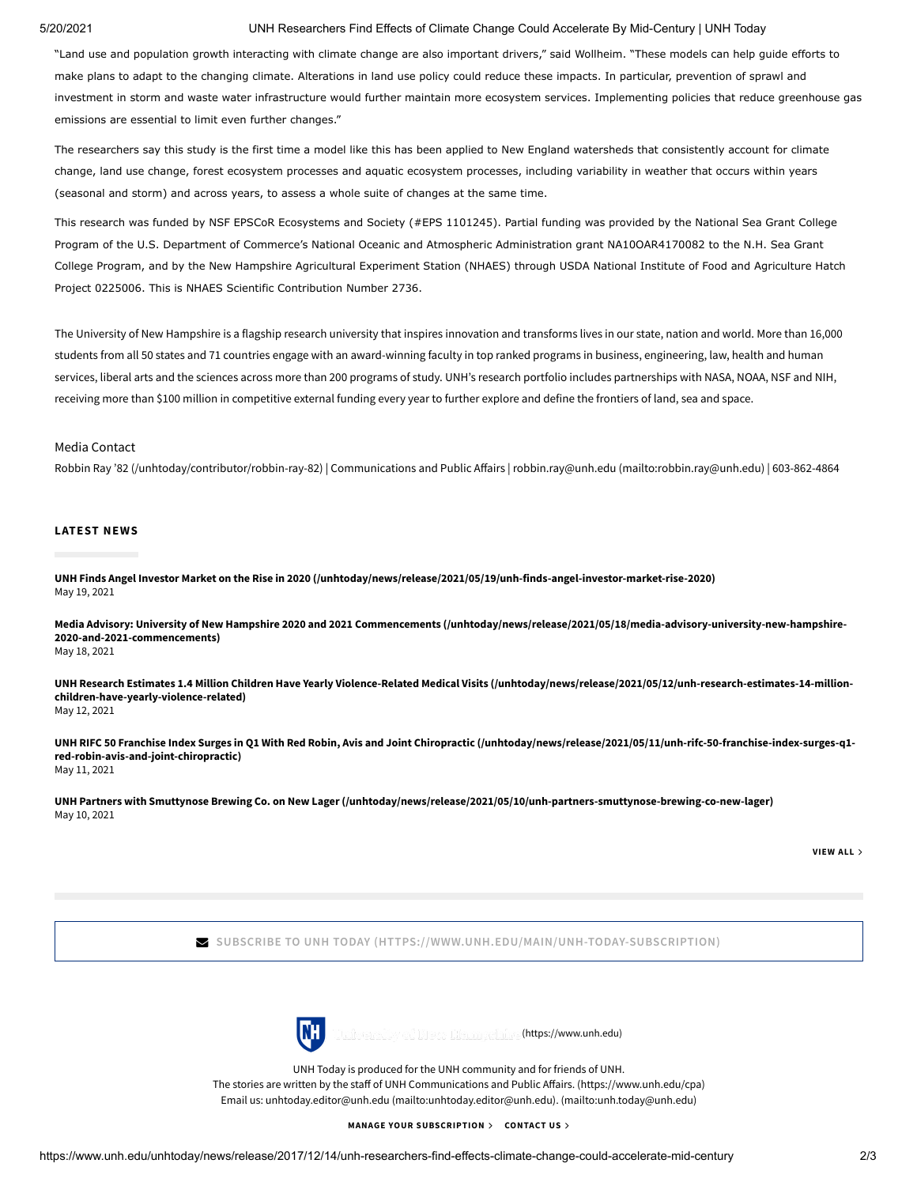### 5/20/2021 UNH Researchers Find Effects of Climate Change Could Accelerate By Mid-Century | UNH Today

"Land use and population growth interacting with climate change are also important drivers," said Wollheim. "These models can help guide efforts to make plans to adapt to the changing climate. Alterations in land use policy could reduce these impacts. In particular, prevention of sprawl and investment in storm and waste water infrastructure would further maintain more ecosystem services. Implementing policies that reduce greenhouse gas emissions are essential to limit even further changes."

The researchers say this study is the first time a model like this has been applied to New England watersheds that consistently account for climate change, land use change, forest ecosystem processes and aquatic ecosystem processes, including variability in weather that occurs within years (seasonal and storm) and across years, to assess a whole suite of changes at the same time.

This research was funded by NSF EPSCoR Ecosystems and Society (#EPS 1101245). Partial funding was provided by the National Sea Grant College Program of the U.S. Department of Commerce's National Oceanic and Atmospheric Administration grant NA10OAR4170082 to the N.H. Sea Grant College Program, and by the New Hampshire Agricultural Experiment Station (NHAES) through USDA National Institute of Food and Agriculture Hatch Project 0225006. This is NHAES Scientific Contribution Number 2736.

The University of New Hampshire is a flagship research university that inspires innovation and transforms lives in our state, nation and world. More than 16,000 students from all 50 states and 71 countries engage with an award-winning faculty in top ranked programs in business, engineering, law, health and human services, liberal arts and the sciences across more than 200 programs of study. UNH's research portfolio includes partnerships with NASA, NOAA, NSF and NIH, receiving more than \$100 million in competitive external funding every year to further explore and define the frontiers of land, sea and space.

#### Media Contact

Robbin Ray '82 [\(/unhtoday/contributor/robbin-ray-82\)](https://www.unh.edu/unhtoday/contributor/robbin-ray-82) | Communications and Public Affairs | robbin.ray@unh.edu [\(mailto:robbin.ray@unh.edu\)](mailto:robbin.ray@unh.edu) | 603-862-4864

#### **LATEST NEWS**

**[UNH Finds Angel Investor Market on the Rise in 2020 \(/unhtoday/news/release/2021/05/19/unh-finds-angel-investor-market-rise-2020\)](https://www.unh.edu/unhtoday/news/release/2021/05/19/unh-finds-angel-investor-market-rise-2020)** May 19, 2021

**[Media Advisory: University of New Hampshire 2020 and 2021 Commencements \(/unhtoday/news/release/2021/05/18/media-advisory-university-new-hampshire-](https://www.unh.edu/unhtoday/news/release/2021/05/18/media-advisory-university-new-hampshire-2020-and-2021-commencements)2020-and-2021-commencements)** May 18, 2021

**[UNH Research Estimates 1.4 Million Children Have Yearly Violence-Related Medical Visits \(/unhtoday/news/release/2021/05/12/unh-research-estimates-14-million](https://www.unh.edu/unhtoday/news/release/2021/05/12/unh-research-estimates-14-million-children-have-yearly-violence-related)children-have-yearly-violence-related)** May 12, 2021

**[UNH RIFC 50 Franchise Index Surges in Q1 With Red Robin, Avis and Joint Chiropractic \(/unhtoday/news/release/2021/05/11/unh-rifc-50-franchise-index-surges-q1](https://www.unh.edu/unhtoday/news/release/2021/05/11/unh-rifc-50-franchise-index-surges-q1-red-robin-avis-and-joint-chiropractic) red-robin-avis-and-joint-chiropractic)** May 11, 2021

**[UNH Partners with Smuttynose Brewing Co. on New Lager \(/unhtoday/news/release/2021/05/10/unh-partners-smuttynose-brewing-co-new-lager\)](https://www.unh.edu/unhtoday/news/release/2021/05/10/unh-partners-smuttynose-brewing-co-new-lager)** May 10, 2021

**[VIEW](https://www.unh.edu/unhtoday/news) ALL**

**SUBSCRIBE TO UNH TODAY [\(HTTPS://WWW.UNH.EDU/MAIN/UNH-TODAY-SUBSCRIPTION\)](https://www.unh.edu/main/unh-today-subscription)**



[\(https://www.unh.edu\)](https://www.unh.edu/)

UNH Today is produced for the UNH community and for friends of UNH. The stories are written by the staff of UNH Communications and Public Affairs. (https://www.unh.edu/cpa) Email us: [unhtoday.editor@unh.edu \(mailto:unhtoday.editor@unh.edu\)](mailto:unhtoday.editor@unh.edu)[. \(mailto:unh.today@unh.edu\)](mailto:unh.today@unh.edu)

**MANAGE YOUR [SUBSCRIPTION](https://www.unh.edu/unhtoday/welcome) [CONTACT](mailto:unh.today@unh.edu) US**